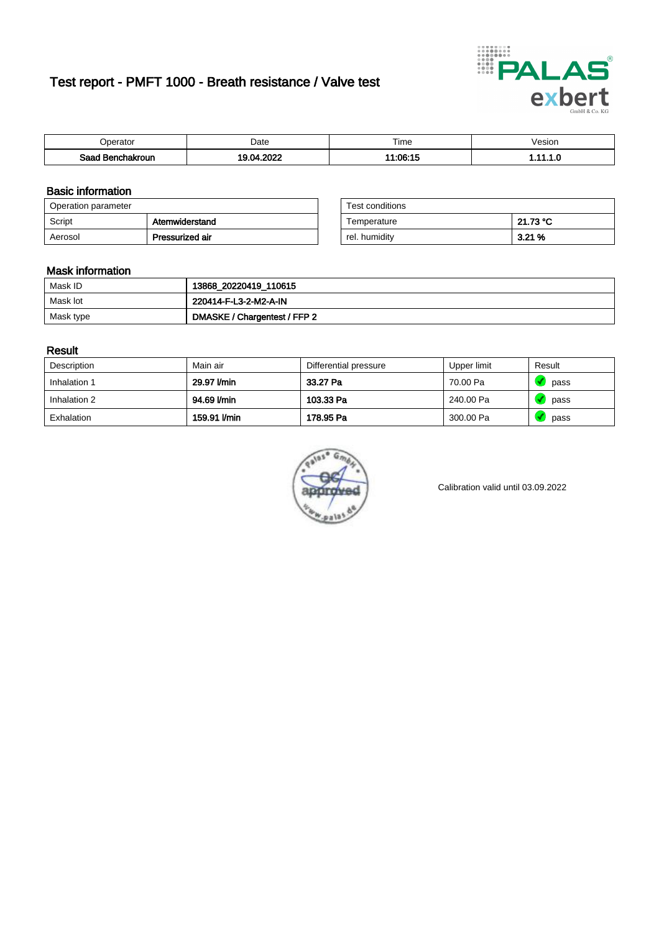# Test report - PMFT 1000 - Breath resistance / Valve test



| berator                | Date      | $- \cdot$<br>. ime | /esion |
|------------------------|-----------|--------------------|--------|
| Saad<br>าchakroun<br>. | oooo<br>. | $11:06:1^r$        | .      |

### Basic information

| Operation parameter |                 | Test conditions |          |
|---------------------|-----------------|-----------------|----------|
| Script              | Atemwiderstand  | Temperature     | 21.73 °C |
| Aerosol             | Pressurized air | rel. humidity   | 3.21%    |

| Test conditions |          |
|-----------------|----------|
| Temperature     | 21.73 °C |
| rel. humidity   | 3.21 %   |

### Mask information

| Mask ID   | 13868_20220419_110615        |
|-----------|------------------------------|
| Mask lot  | 220414-F-L3-2-M2-A-IN        |
| Mask type | DMASKE / Chargentest / FFP 2 |

### Result

| Description  | Main air     | Differential pressure | Upper limit | Result |
|--------------|--------------|-----------------------|-------------|--------|
| Inhalation 1 | 29.97 l/min  | 33.27 Pa              | 70.00 Pa    | pass   |
| Inhalation 2 | 94.69 l/min  | 103.33 Pa             | 240.00 Pa   | pass   |
| Exhalation   | 159.91 l/min | 178.95 Pa             | 300.00 Pa   | pass   |



Calibration valid until 03.09.2022